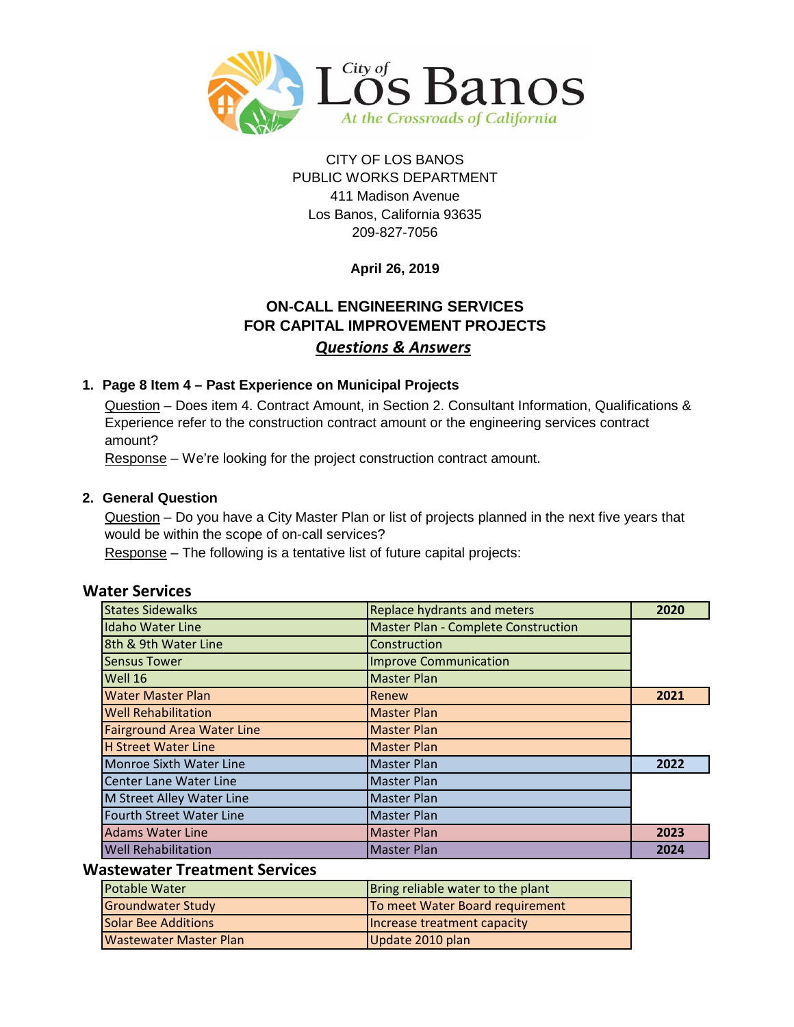

### PUBLIC WORKS DEPARTMENT 411 Madison Avenue Los Banos, California 93635 209-827-7056 CITY OF LOS BANOS

### **April 26, 2019**

### **ON-CALL ENGINEERING SERVICES FOR CAPITAL IMPROVEMENT PROJECTS** *Questions & Answers*

#### **1. Page 8 Item 4 – Past Experience on Municipal Projects**

Question – Does item 4. Contract Amount, in Section 2. Consultant Information, Qualifications & Experience refer to the construction contract amount or the engineering services contract amount?

Response – We're looking for the project construction contract amount.

#### **2. General Question**

Question – Do you have a City Master Plan or list of projects planned in the next five years that would be within the scope of on-call services?

Response – The following is a tentative list of future capital projects:

| <b>States Sidewalks</b>           | <b>Replace hydrants and meters</b>         | 2020 |
|-----------------------------------|--------------------------------------------|------|
| <b>Idaho Water Line</b>           | <b>Master Plan - Complete Construction</b> |      |
| 8th & 9th Water Line              | Construction                               |      |
| <b>Sensus Tower</b>               | <b>Improve Communication</b>               |      |
| Well 16                           | <b>Master Plan</b>                         |      |
| <b>Water Master Plan</b>          | Renew                                      | 2021 |
| <b>Well Rehabilitation</b>        | <b>Master Plan</b>                         |      |
| <b>Fairground Area Water Line</b> | <b>Master Plan</b>                         |      |
| <b>H Street Water Line</b>        | <b>Master Plan</b>                         |      |
| <b>Monroe Sixth Water Line</b>    | <b>Master Plan</b>                         | 2022 |
| <b>Center Lane Water Line</b>     | <b>Master Plan</b>                         |      |
| M Street Alley Water Line         | <b>Master Plan</b>                         |      |
| Fourth Street Water Line          | <b>Master Plan</b>                         |      |
| <b>Adams Water Line</b>           | <b>Master Plan</b>                         | 2023 |
| <b>Well Rehabilitation</b>        | <b>Master Plan</b>                         | 2024 |

#### **Wastewater Treatment Services**

| <b>Potable Water</b>       | Bring reliable water to the plant |
|----------------------------|-----------------------------------|
| Groundwater Study          | To meet Water Board requirement   |
| <b>Solar Bee Additions</b> | Increase treatment capacity       |
| Wastewater Master Plan     | Update 2010 plan                  |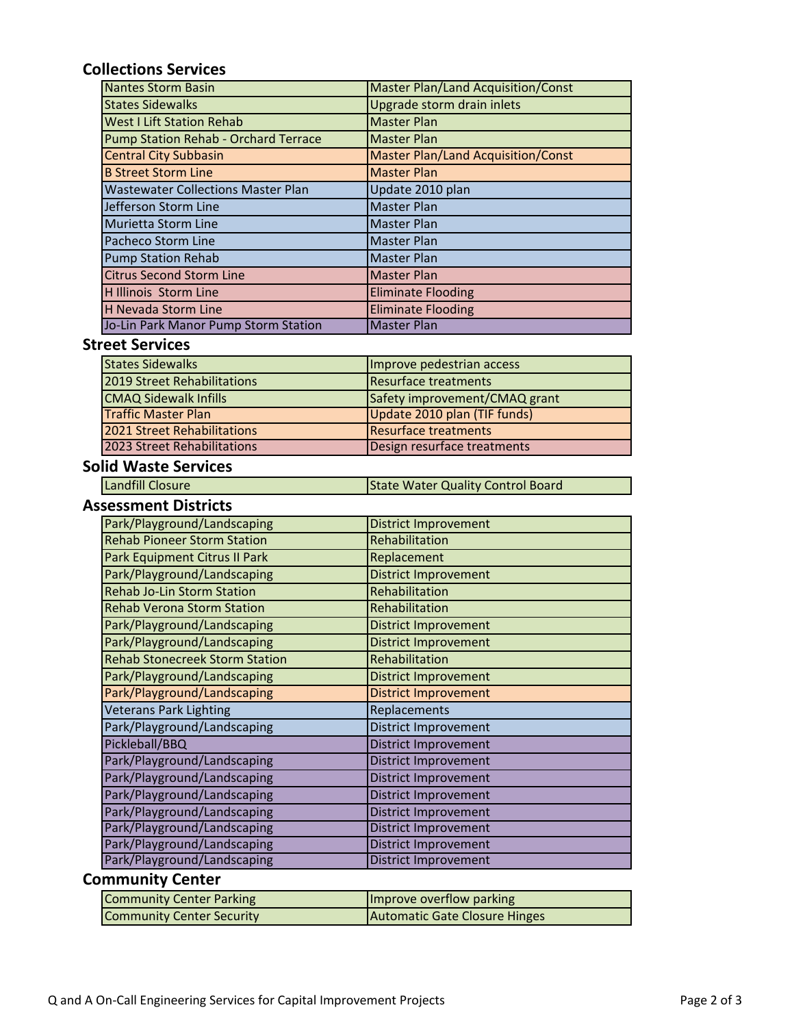# **Collections Services**

| <b>Nantes Storm Basin</b>                 | <b>Master Plan/Land Acquisition/Const</b> |
|-------------------------------------------|-------------------------------------------|
| <b>States Sidewalks</b>                   | Upgrade storm drain inlets                |
| <b>West I Lift Station Rehab</b>          | <b>Master Plan</b>                        |
| Pump Station Rehab - Orchard Terrace      | <b>Master Plan</b>                        |
| <b>Central City Subbasin</b>              | <b>Master Plan/Land Acquisition/Const</b> |
| <b>B Street Storm Line</b>                | <b>Master Plan</b>                        |
| <b>Wastewater Collections Master Plan</b> | Update 2010 plan                          |
| Jefferson Storm Line                      | <b>Master Plan</b>                        |
| Murietta Storm Line                       | <b>Master Plan</b>                        |
| <b>Pacheco Storm Line</b>                 | <b>Master Plan</b>                        |
| <b>Pump Station Rehab</b>                 | <b>Master Plan</b>                        |
| <b>Citrus Second Storm Line</b>           | <b>Master Plan</b>                        |
| H Illinois Storm Line                     | <b>Eliminate Flooding</b>                 |
| <b>H Nevada Storm Line</b>                | <b>Eliminate Flooding</b>                 |
| Jo-Lin Park Manor Pump Storm Station      | <b>Master Plan</b>                        |

### **Street Services**

| <b>States Sidewalks</b>      | Improve pedestrian access     |
|------------------------------|-------------------------------|
| 2019 Street Rehabilitations  | <b>Resurface treatments</b>   |
| <b>CMAQ Sidewalk Infills</b> | Safety improvement/CMAQ grant |
| <b>Traffic Master Plan</b>   | Update 2010 plan (TIF funds)  |
| 2021 Street Rehabilitations  | <b>Resurface treatments</b>   |
| 2023 Street Rehabilitations  | Design resurface treatments   |

### **Solid Waste Services**

| <b>Landfill Closure</b> | State Water Quality Control Board |
|-------------------------|-----------------------------------|
|-------------------------|-----------------------------------|

#### **Assessment Districts**

| Park/Playground/Landscaping           | <b>District Improvement</b> |
|---------------------------------------|-----------------------------|
| <b>Rehab Pioneer Storm Station</b>    | Rehabilitation              |
| Park Equipment Citrus II Park         | Replacement                 |
| Park/Playground/Landscaping           | <b>District Improvement</b> |
| <b>Rehab Jo-Lin Storm Station</b>     | Rehabilitation              |
| <b>Rehab Verona Storm Station</b>     | Rehabilitation              |
| Park/Playground/Landscaping           | <b>District Improvement</b> |
| Park/Playground/Landscaping           | <b>District Improvement</b> |
| <b>Rehab Stonecreek Storm Station</b> | Rehabilitation              |
| Park/Playground/Landscaping           | <b>District Improvement</b> |
| Park/Playground/Landscaping           | <b>District Improvement</b> |
| <b>Veterans Park Lighting</b>         | Replacements                |
| Park/Playground/Landscaping           | District Improvement        |
| Pickleball/BBQ                        | District Improvement        |
| Park/Playground/Landscaping           | <b>District Improvement</b> |
| Park/Playground/Landscaping           | District Improvement        |
| Park/Playground/Landscaping           | <b>District Improvement</b> |
| Park/Playground/Landscaping           | <b>District Improvement</b> |
| Park/Playground/Landscaping           | <b>District Improvement</b> |
| Park/Playground/Landscaping           | <b>District Improvement</b> |
| Park/Playground/Landscaping           | <b>District Improvement</b> |

# **Community Center**

| <b>Community Center Parking</b>  | Improve overflow parking      |
|----------------------------------|-------------------------------|
| <b>Community Center Security</b> | Automatic Gate Closure Hinges |